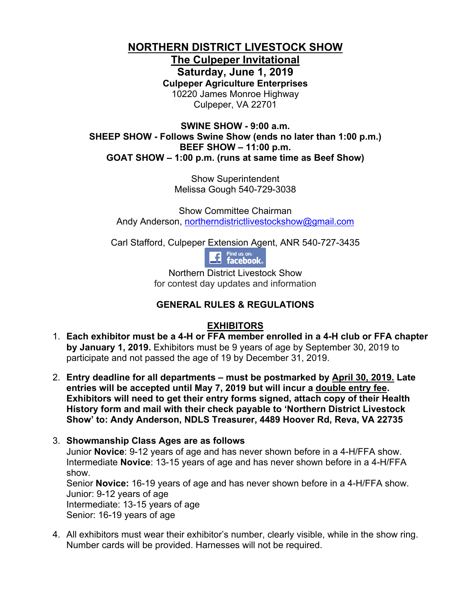# **NORTHERN DISTRICT LIVESTOCK SHOW**

**The Culpeper Invitational Saturday, June 1, 2019 Culpeper Agriculture Enterprises** 10220 James Monroe Highway Culpeper, VA 22701

**SWINE SHOW - 9:00 a.m. SHEEP SHOW - Follows Swine Show (ends no later than 1:00 p.m.) BEEF SHOW – 11:00 p.m. GOAT SHOW – 1:00 p.m. (runs at same time as Beef Show)**

> Show Superintendent Melissa Gough 540-729-3038

Show Committee Chairman Andy Anderson, [northerndistrictlivestockshow@gmail.com](mailto:northerndistrictlivestockshow@gmail.com)

Carl Stafford, Culpeper Extension Agent, ANR 540-727-3435

**11** Find us on:<br>**11** facebook.

Northern District Livestock Show for contest day updates and information

## **GENERAL RULES & REGULATIONS**

#### **EXHIBITORS**

- 1. **Each exhibitor must be a 4-H or FFA member enrolled in a 4-H club or FFA chapter by January 1, 2019.** Exhibitors must be 9 years of age by September 30, 2019 to participate and not passed the age of 19 by December 31, 2019.
- 2. **Entry deadline for all departments must be postmarked by April 30, 2019. Late entries will be accepted until May 7, 2019 but will incur a double entry fee. Exhibitors will need to get their entry forms signed, attach copy of their Health History form and mail with their check payable to 'Northern District Livestock Show' to: Andy Anderson, NDLS Treasurer, 4489 Hoover Rd, Reva, VA 22735**

#### 3. **Showmanship Class Ages are as follows** Junior **Novice**: 9-12 years of age and has never shown before in a 4-H/FFA show. Intermediate **Novice**: 13-15 years of age and has never shown before in a 4-H/FFA show. Senior **Novice:** 16-19 years of age and has never shown before in a 4-H/FFA show. Junior: 9-12 years of age Intermediate: 13-15 years of age Senior: 16-19 years of age

4. All exhibitors must wear their exhibitor's number, clearly visible, while in the show ring. Number cards will be provided. Harnesses will not be required.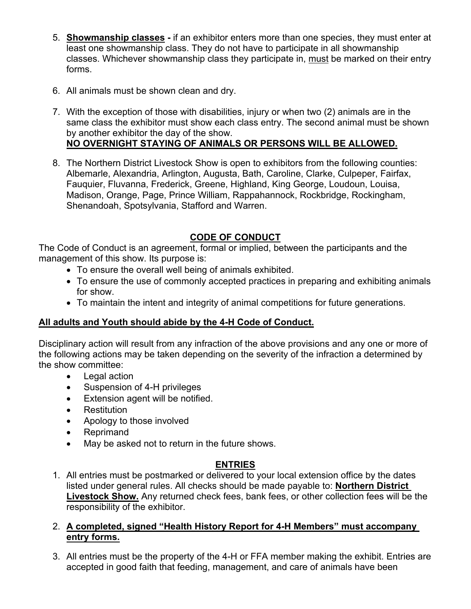- 5. **Showmanship classes -** if an exhibitor enters more than one species, they must enter at least one showmanship class. They do not have to participate in all showmanship classes. Whichever showmanship class they participate in, must be marked on their entry forms.
- 6. All animals must be shown clean and dry.
- 7. With the exception of those with disabilities, injury or when two (2) animals are in the same class the exhibitor must show each class entry. The second animal must be shown by another exhibitor the day of the show. **NO OVERNIGHT STAYING OF ANIMALS OR PERSONS WILL BE ALLOWED.**
- 8. The Northern District Livestock Show is open to exhibitors from the following counties: Albemarle, Alexandria, Arlington, Augusta, Bath, Caroline, Clarke, Culpeper, Fairfax, Fauquier, Fluvanna, Frederick, Greene, Highland, King George, Loudoun, Louisa, Madison, Orange, Page, Prince William, Rappahannock, Rockbridge, Rockingham, Shenandoah, Spotsylvania, Stafford and Warren.

## **CODE OF CONDUCT**

The Code of Conduct is an agreement, formal or implied, between the participants and the management of this show. Its purpose is:

- To ensure the overall well being of animals exhibited.
- To ensure the use of commonly accepted practices in preparing and exhibiting animals for show.
- To maintain the intent and integrity of animal competitions for future generations.

#### **All adults and Youth should abide by the 4-H Code of Conduct.**

Disciplinary action will result from any infraction of the above provisions and any one or more of the following actions may be taken depending on the severity of the infraction a determined by the show committee:

- Legal action
- Suspension of 4-H privileges
- Extension agent will be notified.
- Restitution
- Apology to those involved
- Reprimand
- May be asked not to return in the future shows.

#### **ENTRIES**

1. All entries must be postmarked or delivered to your local extension office by the dates listed under general rules. All checks should be made payable to: **Northern District Livestock Show.** Any returned check fees, bank fees, or other collection fees will be the responsibility of the exhibitor.

#### 2. **A completed, signed "Health History Report for 4-H Members" must accompany entry forms.**

3. All entries must be the property of the 4-H or FFA member making the exhibit. Entries are accepted in good faith that feeding, management, and care of animals have been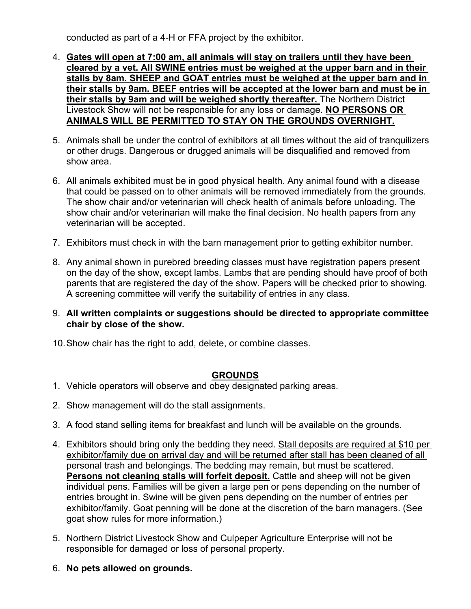conducted as part of a 4-H or FFA project by the exhibitor.

- 4. **Gates will open at 7:00 am, all animals will stay on trailers until they have been cleared by a vet. All SWINE entries must be weighed at the upper barn and in their stalls by 8am. SHEEP and GOAT entries must be weighed at the upper barn and in their stalls by 9am. BEEF entries will be accepted at the lower barn and must be in their stalls by 9am and will be weighed shortly thereafter.** The Northern District Livestock Show will not be responsible for any loss or damage. **NO PERSONS OR ANIMALS WILL BE PERMITTED TO STAY ON THE GROUNDS OVERNIGHT.**
- 5. Animals shall be under the control of exhibitors at all times without the aid of tranquilizers or other drugs. Dangerous or drugged animals will be disqualified and removed from show area.
- 6. All animals exhibited must be in good physical health. Any animal found with a disease that could be passed on to other animals will be removed immediately from the grounds. The show chair and/or veterinarian will check health of animals before unloading. The show chair and/or veterinarian will make the final decision. No health papers from any veterinarian will be accepted.
- 7. Exhibitors must check in with the barn management prior to getting exhibitor number.
- 8. Any animal shown in purebred breeding classes must have registration papers present on the day of the show, except lambs. Lambs that are pending should have proof of both parents that are registered the day of the show. Papers will be checked prior to showing. A screening committee will verify the suitability of entries in any class.
- 9. **All written complaints or suggestions should be directed to appropriate committee chair by close of the show.**
- 10.Show chair has the right to add, delete, or combine classes.

#### **GROUNDS**

- 1. Vehicle operators will observe and obey designated parking areas.
- 2. Show management will do the stall assignments.
- 3. A food stand selling items for breakfast and lunch will be available on the grounds.
- 4. Exhibitors should bring only the bedding they need. Stall deposits are required at \$10 per exhibitor/family due on arrival day and will be returned after stall has been cleaned of all personal trash and belongings. The bedding may remain, but must be scattered. **Persons not cleaning stalls will forfeit deposit.** Cattle and sheep will not be given individual pens. Families will be given a large pen or pens depending on the number of entries brought in. Swine will be given pens depending on the number of entries per exhibitor/family. Goat penning will be done at the discretion of the barn managers. (See goat show rules for more information.)
- 5. Northern District Livestock Show and Culpeper Agriculture Enterprise will not be responsible for damaged or loss of personal property.
- 6. **No pets allowed on grounds.**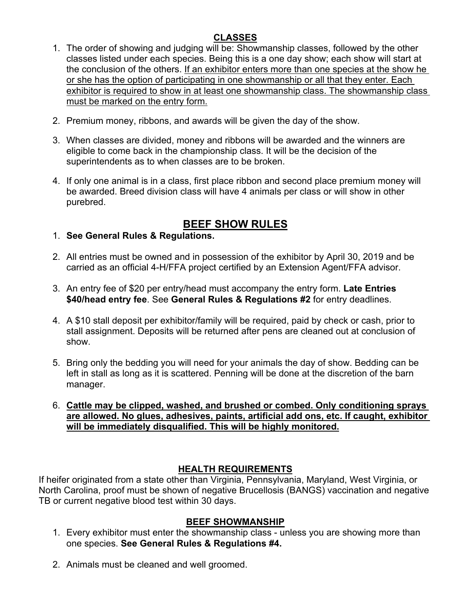## **CLASSES**

- 1. The order of showing and judging will be: Showmanship classes, followed by the other classes listed under each species. Being this is a one day show; each show will start at the conclusion of the others. If an exhibitor enters more than one species at the show he or she has the option of participating in one showmanship or all that they enter. Each exhibitor is required to show in at least one showmanship class. The showmanship class must be marked on the entry form.
- 2. Premium money, ribbons, and awards will be given the day of the show.
- 3. When classes are divided, money and ribbons will be awarded and the winners are eligible to come back in the championship class. It will be the decision of the superintendents as to when classes are to be broken.
- 4. If only one animal is in a class, first place ribbon and second place premium money will be awarded. Breed division class will have 4 animals per class or will show in other purebred.

# **BEEF SHOW RULES**

- 1. **See General Rules & Regulations.**
- 2. All entries must be owned and in possession of the exhibitor by April 30, 2019 and be carried as an official 4-H/FFA project certified by an Extension Agent/FFA advisor.
- 3. An entry fee of \$20 per entry/head must accompany the entry form. **Late Entries \$40/head entry fee**. See **General Rules & Regulations #2** for entry deadlines.
- 4. A \$10 stall deposit per exhibitor/family will be required, paid by check or cash, prior to stall assignment. Deposits will be returned after pens are cleaned out at conclusion of show.
- 5. Bring only the bedding you will need for your animals the day of show. Bedding can be left in stall as long as it is scattered. Penning will be done at the discretion of the barn manager.
- 6. **Cattle may be clipped, washed, and brushed or combed. Only conditioning sprays are allowed. No glues, adhesives, paints, artificial add ons, etc. If caught, exhibitor will be immediately disqualified. This will be highly monitored.**

## **HEALTH REQUIREMENTS**

If heifer originated from a state other than Virginia, Pennsylvania, Maryland, West Virginia, or North Carolina, proof must be shown of negative Brucellosis (BANGS) vaccination and negative TB or current negative blood test within 30 days.

#### **BEEF SHOWMANSHIP**

- 1. Every exhibitor must enter the showmanship class unless you are showing more than one species. **See General Rules & Regulations #4.**
- 2. Animals must be cleaned and well groomed.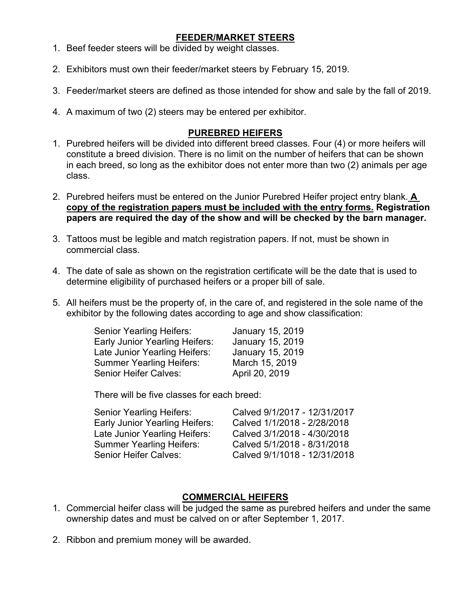#### **FEEDER/MARKET STEERS**

- 1. Beef feeder steers will be divided by weight classes.
- 2. Exhibitors must own their feeder/market steers by February 15, 2019.
- 3. Feeder/market steers are defined as those intended for show and sale by the fall of 2019.
- 4. A maximum of two (2) steers may be entered per exhibitor.

#### **PUREBRED HEIFERS**

- 1. Purebred heifers will be divided into different breed classes. Four (4) or more heifers will constitute a breed division. There is no limit on the number of heifers that can be shown in each breed, so long as the exhibitor does not enter more than two (2) animals per age class.
- 2. Purebred heifers must be entered on the Junior Purebred Heifer project entry blank. **A copy of the registration papers must be included with the entry forms. Registration papers are required the day of the show and will be checked by the barn manager.**
- 3. Tattoos must be legible and match registration papers. If not, must be shown in commercial class.
- 4. The date of sale as shown on the registration certificate will be the date that is used to determine eligibility of purchased heifers or a proper bill of sale.
- 5. All heifers must be the property of, in the care of, and registered in the sole name of the exhibitor by the following dates according to age and show classification:

| Senior Yearling Heifers:        | January 15, 2019 |
|---------------------------------|------------------|
| Early Junior Yearling Heifers:  | January 15, 2019 |
| Late Junior Yearling Heifers:   | January 15, 2019 |
| <b>Summer Yearling Heifers:</b> | March 15, 2019   |
| <b>Senior Heifer Calves:</b>    | April 20, 2019   |

There will be five classes for each breed:

| Senior Yearling Heifers:        | Calved 9/1/2017 - 12/31/2017 |
|---------------------------------|------------------------------|
| Early Junior Yearling Heifers:  | Calved 1/1/2018 - 2/28/2018  |
| Late Junior Yearling Heifers:   | Calved 3/1/2018 - 4/30/2018  |
| <b>Summer Yearling Heifers:</b> | Calved 5/1/2018 - 8/31/2018  |
| Senior Heifer Calves:           | Calved 9/1/1018 - 12/31/2018 |

#### **COMMERCIAL HEIFERS**

- 1. Commercial heifer class will be judged the same as purebred heifers and under the same ownership dates and must be calved on or after September 1, 2017.
- 2. Ribbon and premium money will be awarded.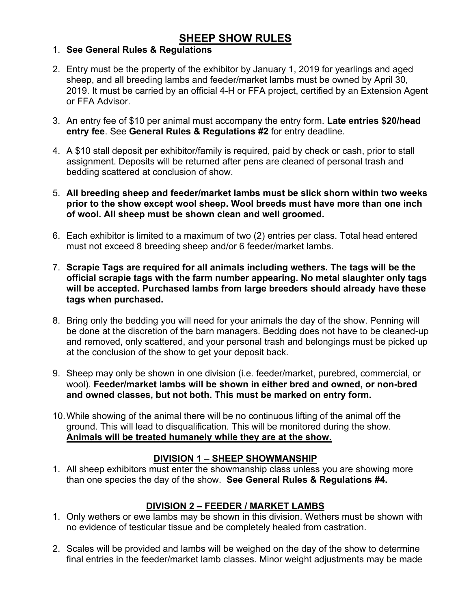## **SHEEP SHOW RULES**

## 1. **See General Rules & Regulations**

- 2. Entry must be the property of the exhibitor by January 1, 2019 for yearlings and aged sheep, and all breeding lambs and feeder/market lambs must be owned by April 30, 2019. It must be carried by an official 4-H or FFA project, certified by an Extension Agent or FFA Advisor.
- 3. An entry fee of \$10 per animal must accompany the entry form. **Late entries \$20/head entry fee**. See **General Rules & Regulations #2** for entry deadline.
- 4. A \$10 stall deposit per exhibitor/family is required, paid by check or cash, prior to stall assignment. Deposits will be returned after pens are cleaned of personal trash and bedding scattered at conclusion of show.
- 5. **All breeding sheep and feeder/market lambs must be slick shorn within two weeks prior to the show except wool sheep. Wool breeds must have more than one inch of wool. All sheep must be shown clean and well groomed.**
- 6. Each exhibitor is limited to a maximum of two (2) entries per class. Total head entered must not exceed 8 breeding sheep and/or 6 feeder/market lambs.
- 7. **Scrapie Tags are required for all animals including wethers. The tags will be the official scrapie tags with the farm number appearing. No metal slaughter only tags will be accepted. Purchased lambs from large breeders should already have these tags when purchased.**
- 8. Bring only the bedding you will need for your animals the day of the show. Penning will be done at the discretion of the barn managers. Bedding does not have to be cleaned-up and removed, only scattered, and your personal trash and belongings must be picked up at the conclusion of the show to get your deposit back.
- 9. Sheep may only be shown in one division (i.e. feeder/market, purebred, commercial, or wool). **Feeder/market lambs will be shown in either bred and owned, or non-bred and owned classes, but not both. This must be marked on entry form.**
- 10.While showing of the animal there will be no continuous lifting of the animal off the ground. This will lead to disqualification. This will be monitored during the show. **Animals will be treated humanely while they are at the show.**

## **DIVISION 1 – SHEEP SHOWMANSHIP**

1. All sheep exhibitors must enter the showmanship class unless you are showing more than one species the day of the show. **See General Rules & Regulations #4.**

## **DIVISION 2 – FEEDER / MARKET LAMBS**

- 1. Only wethers or ewe lambs may be shown in this division. Wethers must be shown with no evidence of testicular tissue and be completely healed from castration.
- 2. Scales will be provided and lambs will be weighed on the day of the show to determine final entries in the feeder/market lamb classes. Minor weight adjustments may be made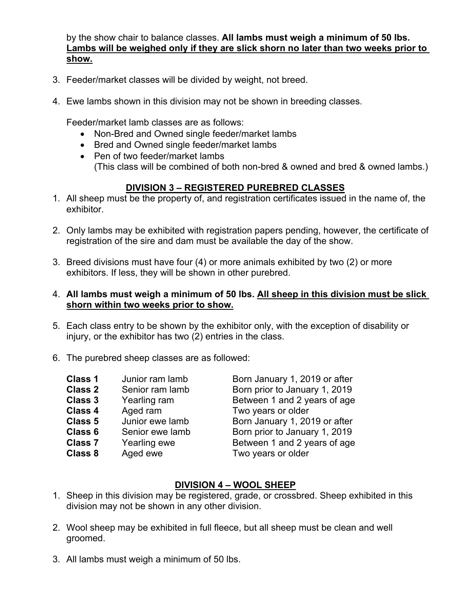by the show chair to balance classes. **All lambs must weigh a minimum of 50 lbs. Lambs will be weighed only if they are slick shorn no later than two weeks prior to show.**

- 3. Feeder/market classes will be divided by weight, not breed.
- 4. Ewe lambs shown in this division may not be shown in breeding classes.

Feeder/market lamb classes are as follows:

- Non-Bred and Owned single feeder/market lambs
- Bred and Owned single feeder/market lambs
- Pen of two feeder/market lambs (This class will be combined of both non-bred & owned and bred & owned lambs.)

## **DIVISION 3 – REGISTERED PUREBRED CLASSES**

- 1. All sheep must be the property of, and registration certificates issued in the name of, the exhibitor.
- 2. Only lambs may be exhibited with registration papers pending, however, the certificate of registration of the sire and dam must be available the day of the show.
- 3. Breed divisions must have four (4) or more animals exhibited by two (2) or more exhibitors. If less, they will be shown in other purebred.

#### 4. **All lambs must weigh a minimum of 50 lbs. All sheep in this division must be slick shorn within two weeks prior to show.**

- 5. Each class entry to be shown by the exhibitor only, with the exception of disability or injury, or the exhibitor has two (2) entries in the class.
- 6. The purebred sheep classes are as followed:

| <b>Class 1</b> | Junior ram lamb | Born January 1, 2019 or after |
|----------------|-----------------|-------------------------------|
| <b>Class 2</b> | Senior ram lamb | Born prior to January 1, 2019 |
| Class 3        | Yearling ram    | Between 1 and 2 years of age  |
| <b>Class 4</b> | Aged ram        | Two years or older            |
| Class 5        | Junior ewe lamb | Born January 1, 2019 or after |
| Class 6        | Senior ewe lamb | Born prior to January 1, 2019 |
| <b>Class 7</b> | Yearling ewe    | Between 1 and 2 years of age  |
| <b>Class 8</b> | Aged ewe        | Two years or older            |
|                |                 |                               |
|                |                 |                               |

## **DIVISION 4 – WOOL SHEEP**

- 1. Sheep in this division may be registered, grade, or crossbred. Sheep exhibited in this division may not be shown in any other division.
- 2. Wool sheep may be exhibited in full fleece, but all sheep must be clean and well groomed.
- 3. All lambs must weigh a minimum of 50 lbs.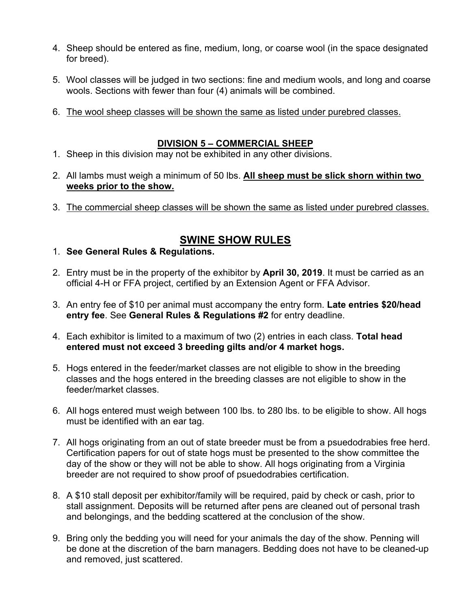- 4. Sheep should be entered as fine, medium, long, or coarse wool (in the space designated for breed).
- 5. Wool classes will be judged in two sections: fine and medium wools, and long and coarse wools. Sections with fewer than four (4) animals will be combined.
- 6. The wool sheep classes will be shown the same as listed under purebred classes.

#### **DIVISION 5 – COMMERCIAL SHEEP**

- 1. Sheep in this division may not be exhibited in any other divisions.
- 2. All lambs must weigh a minimum of 50 lbs. **All sheep must be slick shorn within two weeks prior to the show.**
- 3. The commercial sheep classes will be shown the same as listed under purebred classes.

## **SWINE SHOW RULES**

- 1. **See General Rules & Regulations.**
- 2. Entry must be in the property of the exhibitor by **April 30, 2019**. It must be carried as an official 4-H or FFA project, certified by an Extension Agent or FFA Advisor.
- 3. An entry fee of \$10 per animal must accompany the entry form. **Late entries \$20/head entry fee**. See **General Rules & Regulations #2** for entry deadline.
- 4. Each exhibitor is limited to a maximum of two (2) entries in each class. **Total head entered must not exceed 3 breeding gilts and/or 4 market hogs.**
- 5. Hogs entered in the feeder/market classes are not eligible to show in the breeding classes and the hogs entered in the breeding classes are not eligible to show in the feeder/market classes.
- 6. All hogs entered must weigh between 100 lbs. to 280 lbs. to be eligible to show. All hogs must be identified with an ear tag.
- 7. All hogs originating from an out of state breeder must be from a psuedodrabies free herd. Certification papers for out of state hogs must be presented to the show committee the day of the show or they will not be able to show. All hogs originating from a Virginia breeder are not required to show proof of psuedodrabies certification.
- 8. A \$10 stall deposit per exhibitor/family will be required, paid by check or cash, prior to stall assignment. Deposits will be returned after pens are cleaned out of personal trash and belongings, and the bedding scattered at the conclusion of the show.
- 9. Bring only the bedding you will need for your animals the day of the show. Penning will be done at the discretion of the barn managers. Bedding does not have to be cleaned-up and removed, just scattered.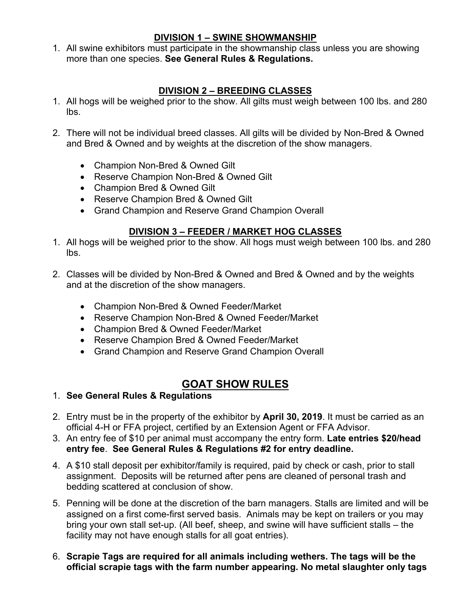#### **DIVISION 1 – SWINE SHOWMANSHIP**

1. All swine exhibitors must participate in the showmanship class unless you are showing more than one species. **See General Rules & Regulations.**

## **DIVISION 2 – BREEDING CLASSES**

- 1. All hogs will be weighed prior to the show. All gilts must weigh between 100 lbs. and 280 lbs.
- 2. There will not be individual breed classes. All gilts will be divided by Non-Bred & Owned and Bred & Owned and by weights at the discretion of the show managers.
	- Champion Non-Bred & Owned Gilt
	- Reserve Champion Non-Bred & Owned Gilt
	- Champion Bred & Owned Gilt
	- Reserve Champion Bred & Owned Gilt
	- Grand Champion and Reserve Grand Champion Overall

## **DIVISION 3 – FEEDER / MARKET HOG CLASSES**

- 1. All hogs will be weighed prior to the show. All hogs must weigh between 100 lbs. and 280 lbs.
- 2. Classes will be divided by Non-Bred & Owned and Bred & Owned and by the weights and at the discretion of the show managers.
	- Champion Non-Bred & Owned Feeder/Market
	- Reserve Champion Non-Bred & Owned Feeder/Market
	- Champion Bred & Owned Feeder/Market
	- Reserve Champion Bred & Owned Feeder/Market
	- Grand Champion and Reserve Grand Champion Overall

# **GOAT SHOW RULES**

- 1. **See General Rules & Regulations**
- 2. Entry must be in the property of the exhibitor by **April 30, 2019**. It must be carried as an official 4-H or FFA project, certified by an Extension Agent or FFA Advisor.
- 3. An entry fee of \$10 per animal must accompany the entry form. **Late entries \$20/head entry fee**. **See General Rules & Regulations #2 for entry deadline.**
- 4. A \$10 stall deposit per exhibitor/family is required, paid by check or cash, prior to stall assignment. Deposits will be returned after pens are cleaned of personal trash and bedding scattered at conclusion of show.
- 5. Penning will be done at the discretion of the barn managers. Stalls are limited and will be assigned on a first come-first served basis. Animals may be kept on trailers or you may bring your own stall set-up. (All beef, sheep, and swine will have sufficient stalls – the facility may not have enough stalls for all goat entries).
- 6. **Scrapie Tags are required for all animals including wethers. The tags will be the official scrapie tags with the farm number appearing. No metal slaughter only tags**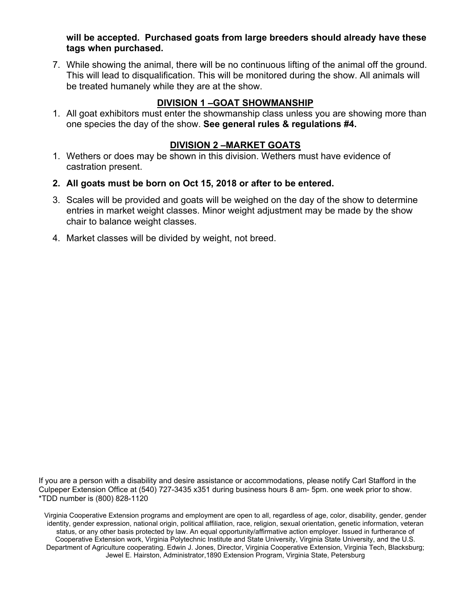**will be accepted. Purchased goats from large breeders should already have these tags when purchased.** 

7. While showing the animal, there will be no continuous lifting of the animal off the ground. This will lead to disqualification. This will be monitored during the show. All animals will be treated humanely while they are at the show.

## **DIVISION 1 –GOAT SHOWMANSHIP**

1. All goat exhibitors must enter the showmanship class unless you are showing more than one species the day of the show. **See general rules & regulations #4.**

#### **DIVISION 2 –MARKET GOATS**

- 1. Wethers or does may be shown in this division. Wethers must have evidence of castration present.
- **2. All goats must be born on Oct 15, 2018 or after to be entered.**
- 3. Scales will be provided and goats will be weighed on the day of the show to determine entries in market weight classes. Minor weight adjustment may be made by the show chair to balance weight classes.
- 4. Market classes will be divided by weight, not breed.

If you are a person with a disability and desire assistance or accommodations, please notify Carl Stafford in the Culpeper Extension Office at (540) 727-3435 x351 during business hours 8 am- 5pm. one week prior to show. \*TDD number is (800) 828-1120

Virginia Cooperative Extension programs and employment are open to all, regardless of age, color, disability, gender, gender identity, gender expression, national origin, political affiliation, race, religion, sexual orientation, genetic information, veteran status, or any other basis protected by law. An equal opportunity/affirmative action employer. Issued in furtherance of Cooperative Extension work, Virginia Polytechnic Institute and State University, Virginia State University, and the U.S. Department of Agriculture cooperating. Edwin J. Jones, Director, Virginia Cooperative Extension, Virginia Tech, Blacksburg; Jewel E. Hairston, Administrator,1890 Extension Program, Virginia State, Petersburg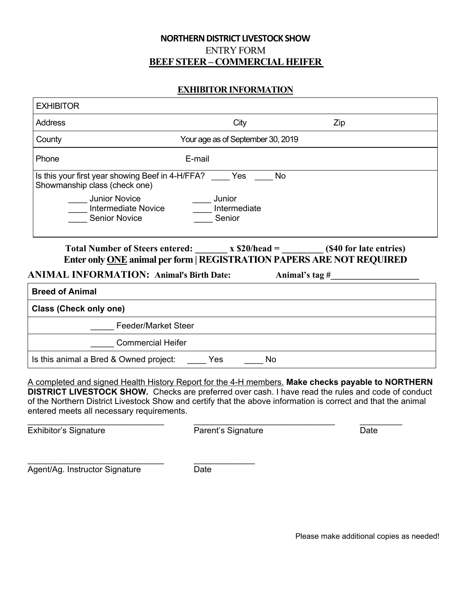#### **NORTHERN DISTRICT LIVESTOCK SHOW** ENTRY FORM **BEEF STEER – COMMERCIAL HEIFER**

#### **EXHIBITOR INFORMATION**

| <b>EXHIBITOR</b>                                                                      |                                   |                                                                                                                                                                            |  |
|---------------------------------------------------------------------------------------|-----------------------------------|----------------------------------------------------------------------------------------------------------------------------------------------------------------------------|--|
| Address                                                                               | City                              | Zip                                                                                                                                                                        |  |
| County                                                                                | Your age as of September 30, 2019 |                                                                                                                                                                            |  |
| Phone                                                                                 | E-mail                            |                                                                                                                                                                            |  |
| Is this your first year showing Beef in 4-H/FFA? Yes<br>Showmanship class (check one) |                                   | <b>No</b>                                                                                                                                                                  |  |
| <b>Junior Novice</b><br><b>Intermediate Novice</b><br><b>Senior Novice</b>            | Junior<br>Intermediate<br>Senior  |                                                                                                                                                                            |  |
| <b>ANIMAL INFORMATION: Animal's Birth Date:</b>                                       |                                   | Total Number of Steers entered: $x $20/\text{head} =$ (\$40 for late entries)<br>Enter only ONE animal per form   REGISTRATION PAPERS ARE NOT REQUIRED<br>Animal's tag $#$ |  |
| <b>Breed of Animal</b>                                                                |                                   |                                                                                                                                                                            |  |
| <b>Class (Check only one)</b>                                                         |                                   |                                                                                                                                                                            |  |
| <b>Feeder/Market Steer</b>                                                            |                                   |                                                                                                                                                                            |  |
| <b>Commercial Heifer</b>                                                              |                                   |                                                                                                                                                                            |  |
| Is this animal a Bred & Owned project:                                                | Yes<br>No                         |                                                                                                                                                                            |  |

A completed and signed Health History Report for the 4-H members. **Make checks payable to NORTHERN DISTRICT LIVESTOCK SHOW.** Checks are preferred over cash. I have read the rules and code of conduct of the Northern District Livestock Show and certify that the above information is correct and that the animal entered meets all necessary requirements.

Exhibitor's Signature **Parent's Signature** Parent's Signature Date

\_\_\_\_\_\_\_\_\_\_\_\_\_\_\_\_\_\_\_\_\_\_\_\_\_\_\_\_\_ \_\_\_\_\_\_\_\_\_\_\_\_\_\_\_\_\_\_\_\_\_\_\_\_\_\_\_\_\_\_ \_\_\_\_\_\_\_\_\_

Agent/Ag. Instructor Signature Date

\_\_\_\_\_\_\_\_\_\_\_\_\_\_\_\_\_\_\_\_\_\_\_\_\_\_\_\_\_ \_\_\_\_\_\_\_\_\_\_\_\_\_

Please make additional copies as needed!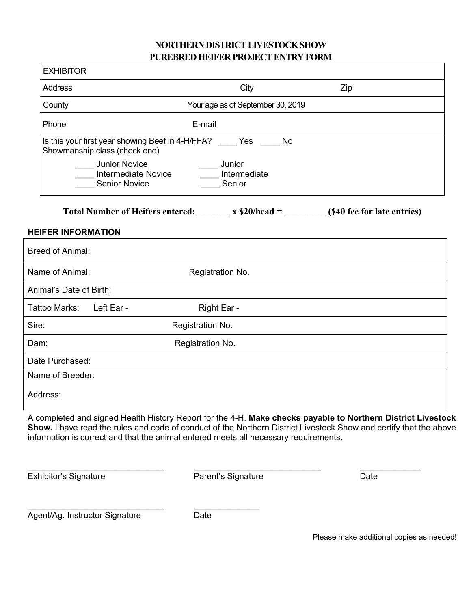## **NORTHERN DISTRICT LIVESTOCK SHOW PUREBRED HEIFER PROJECT ENTRY FORM**

|          | <b>EXHIBITOR</b>          |                                                                                       |                                     |           |                                                                                                                                                                                                                                    |
|----------|---------------------------|---------------------------------------------------------------------------------------|-------------------------------------|-----------|------------------------------------------------------------------------------------------------------------------------------------------------------------------------------------------------------------------------------------|
|          | <b>Address</b>            |                                                                                       | City                                |           | Zip                                                                                                                                                                                                                                |
|          | County                    |                                                                                       | Your age as of September 30, 2019   |           |                                                                                                                                                                                                                                    |
|          | Phone                     |                                                                                       | E-mail                              |           |                                                                                                                                                                                                                                    |
|          |                           | Is this your first year showing Beef in 4-H/FFA? Yes<br>Showmanship class (check one) |                                     | <b>No</b> |                                                                                                                                                                                                                                    |
|          |                           | <b>Junior Novice</b><br><b>Intermediate Novice</b><br><b>Senior Novice</b>            | __ Junior<br>Intermediate<br>Senior |           |                                                                                                                                                                                                                                    |
|          |                           |                                                                                       |                                     |           | Total Number of Heifers entered: $x $20/head =$ (\$40 fee for late entries)                                                                                                                                                        |
|          | <b>HEIFER INFORMATION</b> |                                                                                       |                                     |           |                                                                                                                                                                                                                                    |
|          | <b>Breed of Animal:</b>   |                                                                                       |                                     |           |                                                                                                                                                                                                                                    |
|          | Name of Animal:           |                                                                                       | Registration No.                    |           |                                                                                                                                                                                                                                    |
|          | Animal's Date of Birth:   |                                                                                       |                                     |           |                                                                                                                                                                                                                                    |
|          | Tattoo Marks:             | Left Ear -                                                                            | Right Ear -                         |           |                                                                                                                                                                                                                                    |
| Sire:    |                           |                                                                                       | Registration No.                    |           |                                                                                                                                                                                                                                    |
| Dam:     |                           |                                                                                       | Registration No.                    |           |                                                                                                                                                                                                                                    |
|          | Date Purchased:           |                                                                                       |                                     |           |                                                                                                                                                                                                                                    |
|          | Name of Breeder:          |                                                                                       |                                     |           |                                                                                                                                                                                                                                    |
| Address: |                           |                                                                                       |                                     |           |                                                                                                                                                                                                                                    |
|          |                           | information is correct and that the animal entered meets all necessary requirements.  |                                     |           | A completed and signed Health History Report for the 4-H. Make checks payable to Northern District Livestock<br>Show. I have read the rules and code of conduct of the Northern District Livestock Show and certify that the above |

Exhibitor's Signature **Parent's Signature** Parent's Signature Date

\_\_\_\_\_\_\_\_\_\_\_\_\_\_\_\_\_\_\_\_\_\_\_\_\_\_\_\_\_ \_\_\_\_\_\_\_\_\_\_\_\_\_\_\_\_\_\_\_\_\_\_\_\_\_\_\_ \_\_\_\_\_\_\_\_\_\_\_\_\_

\_\_\_\_\_\_\_\_\_\_\_\_\_\_\_\_\_\_\_\_\_\_\_\_\_\_\_\_\_ \_\_\_\_\_\_\_\_\_\_\_\_\_\_ Agent/Ag. Instructor Signature **Contact Contact Contact Contact Contact** Date

Please make additional copies as needed!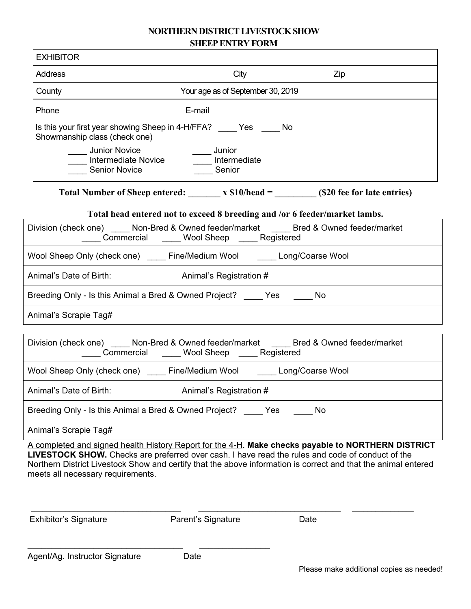## **NORTHERN DISTRICT LIVESTOCK SHOW SHEEP ENTRY FORM**

| <b>EXHIBITOR</b>                                                                       |                                                                      |                                                                                                                                                                                                                                                                                                                          |
|----------------------------------------------------------------------------------------|----------------------------------------------------------------------|--------------------------------------------------------------------------------------------------------------------------------------------------------------------------------------------------------------------------------------------------------------------------------------------------------------------------|
| <b>Address</b>                                                                         | City                                                                 | Zip                                                                                                                                                                                                                                                                                                                      |
| County                                                                                 | Your age as of September 30, 2019                                    |                                                                                                                                                                                                                                                                                                                          |
| Phone                                                                                  | E-mail                                                               |                                                                                                                                                                                                                                                                                                                          |
| Showmanship class (check one)                                                          | Is this your first year showing Sheep in 4-H/FFA? _____ Yes _____ No |                                                                                                                                                                                                                                                                                                                          |
| _____ Junior Novice<br>____ Junior Novice<br>____ Intermediate Novice<br>Senior Novice | _____ Junior<br>_____ Intermediate<br>Senior                         |                                                                                                                                                                                                                                                                                                                          |
|                                                                                        |                                                                      |                                                                                                                                                                                                                                                                                                                          |
|                                                                                        |                                                                      | Total head entered not to exceed 8 breeding and /or 6 feeder/market lambs.                                                                                                                                                                                                                                               |
|                                                                                        | _____ Commercial ______ Wool Sheep _____ Registered                  | Division (check one) _____ Non-Bred & Owned feeder/market _____ Bred & Owned feeder/market                                                                                                                                                                                                                               |
| Wool Sheep Only (check one) _____ Fine/Medium Wool ______ Long/Coarse Wool             |                                                                      |                                                                                                                                                                                                                                                                                                                          |
| Animal's Date of Birth:                                                                | Animal's Registration #                                              |                                                                                                                                                                                                                                                                                                                          |
| Breeding Only - Is this Animal a Bred & Owned Project? _____ Yes ______ No             |                                                                      |                                                                                                                                                                                                                                                                                                                          |
| Animal's Scrapie Tag#                                                                  |                                                                      |                                                                                                                                                                                                                                                                                                                          |
|                                                                                        | Commercial _____ Wool Sheep _____ Registered                         | Division (check one) _____ Non-Bred & Owned feeder/market _____ Bred & Owned feeder/market                                                                                                                                                                                                                               |
| Wool Sheep Only (check one) _____ Fine/Medium Wool ______ Long/Coarse Wool             |                                                                      |                                                                                                                                                                                                                                                                                                                          |
| Animal's Date of Birth:                                                                | Animal's Registration #                                              |                                                                                                                                                                                                                                                                                                                          |
| Breeding Only - Is this Animal a Bred & Owned Project? _____ Yes                       |                                                                      | No                                                                                                                                                                                                                                                                                                                       |
| Animal's Scrapie Tag#                                                                  |                                                                      |                                                                                                                                                                                                                                                                                                                          |
| meets all necessary requirements.                                                      |                                                                      | A completed and signed health History Report for the 4-H. Make checks payable to NORTHERN DISTRICT<br>LIVESTOCK SHOW. Checks are preferred over cash. I have read the rules and code of conduct of the<br>Northern District Livestock Show and certify that the above information is correct and that the animal entered |
| <b>Exhibitor's Signature</b>                                                           | Parent's Signature                                                   | Date                                                                                                                                                                                                                                                                                                                     |
| Agent/Ag. Instructor Signature                                                         | Date                                                                 |                                                                                                                                                                                                                                                                                                                          |
|                                                                                        |                                                                      | Please make additional copies as needed!                                                                                                                                                                                                                                                                                 |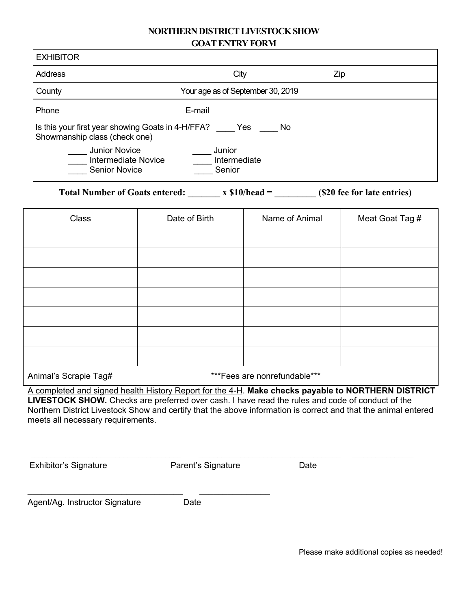#### **NORTHERN DISTRICT LIVESTOCK SHOW GOAT ENTRY FORM**

| <b>EXHIBITOR</b>                                                                   |                                   |     |
|------------------------------------------------------------------------------------|-----------------------------------|-----|
| Address                                                                            | City                              | Zip |
| County                                                                             | Your age as of September 30, 2019 |     |
| Phone                                                                              | E-mail                            |     |
| Is this your first year showing Goats in 4-H/FFA?<br>Showmanship class (check one) | Yes<br><b>No</b>                  |     |
| <b>Junior Novice</b><br>Intermediate Novice<br><b>Senior Novice</b>                | Junior<br>Intermediate<br>Senior  |     |

Total Number of Goats entered: x \$10/head = (\$20 fee for late entries)

| Class                           | Date of Birth | Name of Animal | Meat Goat Tag # |
|---------------------------------|---------------|----------------|-----------------|
|                                 |               |                |                 |
|                                 |               |                |                 |
|                                 |               |                |                 |
|                                 |               |                |                 |
|                                 |               |                |                 |
|                                 |               |                |                 |
|                                 |               |                |                 |
| $A = \{x_1, x_2, \ldots, x_n\}$ |               |                |                 |

Animal's Scrapie Tag#  $***$ Fees are nonrefundable

A completed and signed health History Report for the 4-H. **Make checks payable to NORTHERN DISTRICT LIVESTOCK SHOW.** Checks are preferred over cash. I have read the rules and code of conduct of the Northern District Livestock Show and certify that the above information is correct and that the animal entered meets all necessary requirements.

 $\mathcal{L}_\mathcal{L} = \mathcal{L}_\mathcal{L}$ 

Exhibitor's Signature **Parent's Signature** Date

Agent/Ag. Instructor Signature Date

\_\_\_\_\_\_\_\_\_\_\_\_\_\_\_\_\_\_\_\_\_\_\_\_\_\_\_\_\_\_\_\_\_ \_\_\_\_\_\_\_\_\_\_\_\_\_\_\_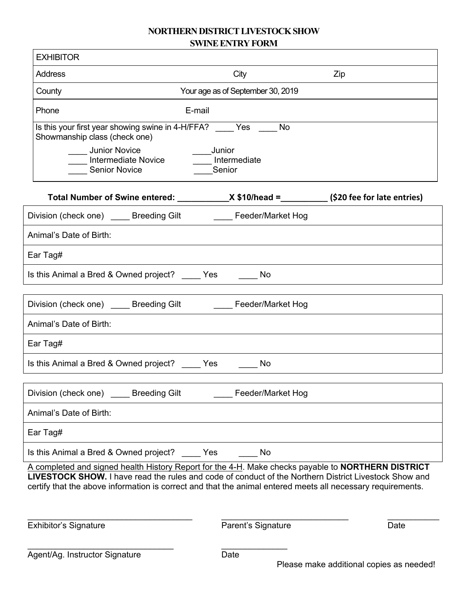#### **NORTHERN DISTRICT LIVESTOCK SHOW SWINE ENTRY FORM**

| <b>EXHIBITOR</b>                                                                                                                   |                            |                                         |                                                                                                                                                                                                                                                                                                                                   |
|------------------------------------------------------------------------------------------------------------------------------------|----------------------------|-----------------------------------------|-----------------------------------------------------------------------------------------------------------------------------------------------------------------------------------------------------------------------------------------------------------------------------------------------------------------------------------|
| <b>Address</b>                                                                                                                     |                            | City                                    | Zip                                                                                                                                                                                                                                                                                                                               |
| County                                                                                                                             |                            | Your age as of September 30, 2019       |                                                                                                                                                                                                                                                                                                                                   |
| Phone                                                                                                                              | E-mail                     |                                         |                                                                                                                                                                                                                                                                                                                                   |
| Is this your first year showing swine in 4-H/FFA? Yes No<br>Showmanship class (check one)<br>Junior Novice<br><b>Senior Novice</b> | <b>Intermediate Novice</b> | <b>Junior</b><br>Intermediate<br>Senior |                                                                                                                                                                                                                                                                                                                                   |
|                                                                                                                                    |                            |                                         | Total Number of Swine entered: X \$10/head = (\$20 fee for late entries)                                                                                                                                                                                                                                                          |
| Division (check one) ______ Breeding Gilt _________ Feeder/Market Hog                                                              |                            |                                         |                                                                                                                                                                                                                                                                                                                                   |
| Animal's Date of Birth:                                                                                                            |                            |                                         |                                                                                                                                                                                                                                                                                                                                   |
| Ear Tag#                                                                                                                           |                            |                                         |                                                                                                                                                                                                                                                                                                                                   |
| Is this Animal a Bred & Owned project? _____ Yes                                                                                   |                            | No                                      |                                                                                                                                                                                                                                                                                                                                   |
| Division (check one) ______ Breeding Gilt _________ Feeder/Market Hog                                                              |                            |                                         |                                                                                                                                                                                                                                                                                                                                   |
| Animal's Date of Birth:                                                                                                            |                            |                                         |                                                                                                                                                                                                                                                                                                                                   |
| Ear Tag#                                                                                                                           |                            |                                         |                                                                                                                                                                                                                                                                                                                                   |
| Is this Animal a Bred & Owned project? Yes                                                                                         |                            | No                                      |                                                                                                                                                                                                                                                                                                                                   |
| Division (check one)                                                                                                               | <b>Breeding Gilt</b>       | Feeder/Market Hog                       |                                                                                                                                                                                                                                                                                                                                   |
| Animal's Date of Birth:                                                                                                            |                            |                                         |                                                                                                                                                                                                                                                                                                                                   |
| Ear Tag#                                                                                                                           |                            |                                         |                                                                                                                                                                                                                                                                                                                                   |
| Is this Animal a Bred & Owned project?                                                                                             | Yes                        | No                                      |                                                                                                                                                                                                                                                                                                                                   |
|                                                                                                                                    |                            |                                         | A completed and signed health History Report for the 4-H. Make checks payable to NORTHERN DISTRICT<br><b>LIVESTOCK SHOW.</b> I have read the rules and code of conduct of the Northern District Livestock Show and<br>certify that the above information is correct and that the animal entered meets all necessary requirements. |
| <b>Exhibitor's Signature</b>                                                                                                       |                            | Parent's Signature                      | Date                                                                                                                                                                                                                                                                                                                              |

\_\_\_\_\_\_\_\_\_\_\_\_\_\_\_\_\_\_\_\_\_\_\_\_\_\_\_\_\_\_\_ \_\_\_\_\_\_\_\_\_\_\_\_\_\_